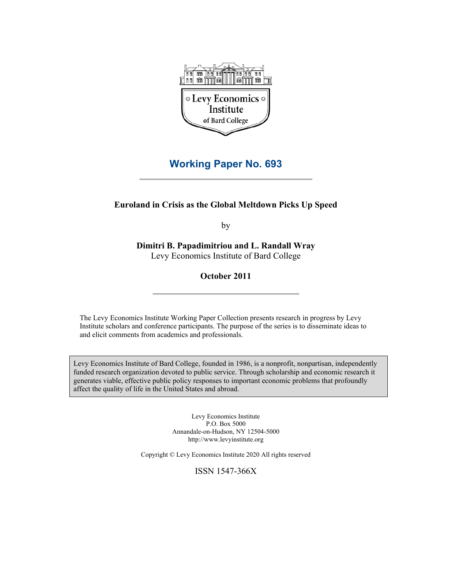

# **Working Paper No. 693**

## **Euroland in Crisis as the Global Meltdown Picks Up Speed**

by

**Dimitri B. Papadimitriou and L. Randall Wray**  Levy Economics Institute of Bard College

**October 2011** 

The Levy Economics Institute Working Paper Collection presents research in progress by Levy Institute scholars and conference participants. The purpose of the series is to disseminate ideas to and elicit comments from academics and professionals.

Levy Economics Institute of Bard College, founded in 1986, is a nonprofit, nonpartisan, independently funded research organization devoted to public service. Through scholarship and economic research it generates viable, effective public policy responses to important economic problems that profoundly affect the quality of life in the United States and abroad.

> Levy Economics Institute P.O. Box 5000 Annandale-on-Hudson, NY 12504-5000 http://www.levyinstitute.org

Copyright © Levy Economics Institute 2020 All rights reserved

ISSN 1547-366X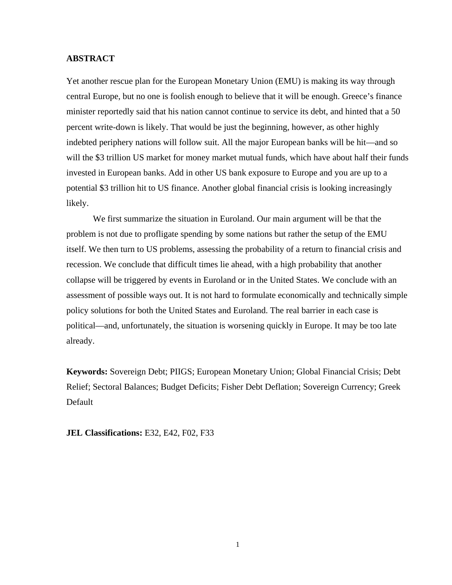## **ABSTRACT**

Yet another rescue plan for the European Monetary Union (EMU) is making its way through central Europe, but no one is foolish enough to believe that it will be enough. Greece's finance minister reportedly said that his nation cannot continue to service its debt, and hinted that a 50 percent write-down is likely. That would be just the beginning, however, as other highly indebted periphery nations will follow suit. All the major European banks will be hit—and so will the \$3 trillion US market for money market mutual funds, which have about half their funds invested in European banks. Add in other US bank exposure to Europe and you are up to a potential \$3 trillion hit to US finance. Another global financial crisis is looking increasingly likely.

We first summarize the situation in Euroland. Our main argument will be that the problem is not due to profligate spending by some nations but rather the setup of the EMU itself. We then turn to US problems, assessing the probability of a return to financial crisis and recession. We conclude that difficult times lie ahead, with a high probability that another collapse will be triggered by events in Euroland or in the United States. We conclude with an assessment of possible ways out. It is not hard to formulate economically and technically simple policy solutions for both the United States and Euroland. The real barrier in each case is political—and, unfortunately, the situation is worsening quickly in Europe. It may be too late already.

**Keywords:** Sovereign Debt; PIIGS; European Monetary Union; Global Financial Crisis; Debt Relief; Sectoral Balances; Budget Deficits; Fisher Debt Deflation; Sovereign Currency; Greek Default

**JEL Classifications:** E32, E42, F02, F33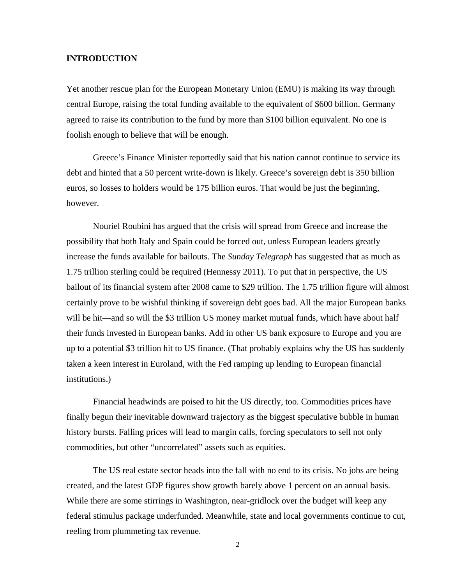## **INTRODUCTION**

Yet another rescue plan for the European Monetary Union (EMU) is making its way through central Europe, raising the total funding available to the equivalent of \$600 billion. Germany agreed to raise its contribution to the fund by more than \$100 billion equivalent. No one is foolish enough to believe that will be enough.

Greece's Finance Minister reportedly said that his nation cannot continue to service its debt and hinted that a 50 percent write-down is likely. Greece's sovereign debt is 350 billion euros, so losses to holders would be 175 billion euros. That would be just the beginning, however.

Nouriel Roubini has argued that the crisis will spread from Greece and increase the possibility that both Italy and Spain could be forced out, unless European leaders greatly increase the funds available for bailouts. The *Sunday Telegraph* has suggested that as much as 1.75 trillion sterling could be required (Hennessy 2011). To put that in perspective, the US bailout of its financial system after 2008 came to \$29 trillion. The 1.75 trillion figure will almost certainly prove to be wishful thinking if sovereign debt goes bad. All the major European banks will be hit—and so will the \$3 trillion US money market mutual funds, which have about half their funds invested in European banks. Add in other US bank exposure to Europe and you are up to a potential \$3 trillion hit to US finance. (That probably explains why the US has suddenly taken a keen interest in Euroland, with the Fed ramping up lending to European financial institutions.)

Financial headwinds are poised to hit the US directly, too. Commodities prices have finally begun their inevitable downward trajectory as the biggest speculative bubble in human history bursts. Falling prices will lead to margin calls, forcing speculators to sell not only commodities, but other "uncorrelated" assets such as equities.

The US real estate sector heads into the fall with no end to its crisis. No jobs are being created, and the latest GDP figures show growth barely above 1 percent on an annual basis. While there are some stirrings in Washington, near-gridlock over the budget will keep any federal stimulus package underfunded. Meanwhile, state and local governments continue to cut, reeling from plummeting tax revenue.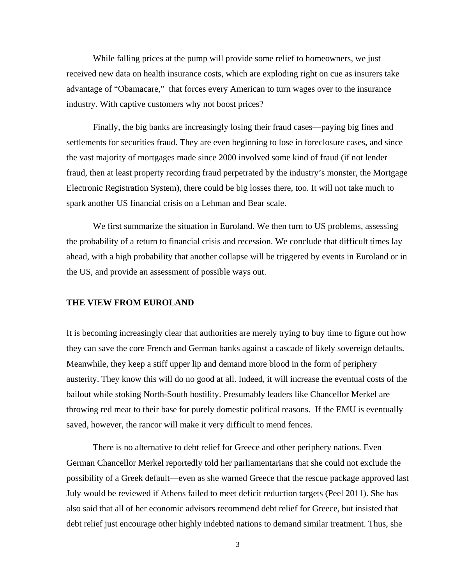While falling prices at the pump will provide some relief to homeowners, we just received new data on health insurance costs, which are exploding right on cue as insurers take advantage of "Obamacare," that forces every American to turn wages over to the insurance industry. With captive customers why not boost prices?

Finally, the big banks are increasingly losing their fraud cases—paying big fines and settlements for securities fraud. They are even beginning to lose in foreclosure cases, and since the vast majority of mortgages made since 2000 involved some kind of fraud (if not lender fraud, then at least property recording fraud perpetrated by the industry's monster, the Mortgage Electronic Registration System), there could be big losses there, too. It will not take much to spark another US financial crisis on a Lehman and Bear scale.

We first summarize the situation in Euroland. We then turn to US problems, assessing the probability of a return to financial crisis and recession. We conclude that difficult times lay ahead, with a high probability that another collapse will be triggered by events in Euroland or in the US, and provide an assessment of possible ways out.

#### **THE VIEW FROM EUROLAND**

It is becoming increasingly clear that authorities are merely trying to buy time to figure out how they can save the core French and German banks against a cascade of likely sovereign defaults. Meanwhile, they keep a stiff upper lip and demand more blood in the form of periphery austerity. They know this will do no good at all. Indeed, it will increase the eventual costs of the bailout while stoking North-South hostility. Presumably leaders like Chancellor Merkel are throwing red meat to their base for purely domestic political reasons. If the EMU is eventually saved, however, the rancor will make it very difficult to mend fences.

There is no alternative to debt relief for Greece and other periphery nations. Even German Chancellor Merkel reportedly told her parliamentarians that she could not exclude the possibility of a Greek default—even as she warned Greece that the rescue package approved last July would be reviewed if Athens failed to meet deficit reduction targets (Peel 2011). She has also said that all of her economic advisors recommend debt relief for Greece, but insisted that debt relief just encourage other highly indebted nations to demand similar treatment. Thus, she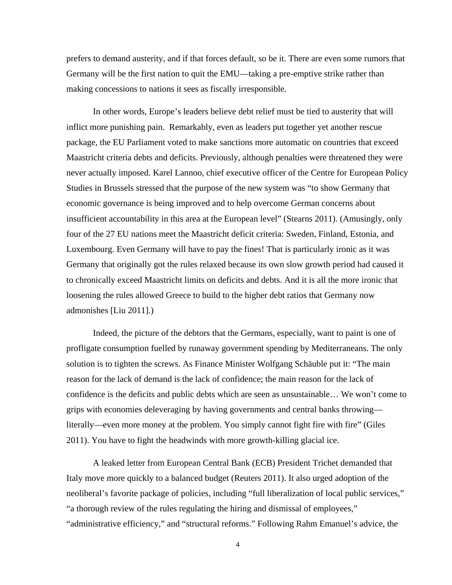prefers to demand austerity, and if that forces default, so be it. There are even some rumors that Germany will be the first nation to quit the EMU—taking a pre-emptive strike rather than making concessions to nations it sees as fiscally irresponsible.

In other words, Europe's leaders believe debt relief must be tied to austerity that will inflict more punishing pain. Remarkably, even as leaders put together yet another rescue package, the EU Parliament voted to make sanctions more automatic on countries that exceed Maastricht criteria debts and deficits. Previously, although penalties were threatened they were never actually imposed. Karel Lannoo, chief executive officer of the Centre for European Policy Studies in Brussels stressed that the purpose of the new system was "to show Germany that economic governance is being improved and to help overcome German concerns about insufficient accountability in this area at the European level" (Stearns 2011). (Amusingly, only four of the 27 EU nations meet the Maastricht deficit criteria: Sweden, Finland, Estonia, and Luxembourg. Even Germany will have to pay the fines! That is particularly ironic as it was Germany that originally got the rules relaxed because its own slow growth period had caused it to chronically exceed Maastricht limits on deficits and debts. And it is all the more ironic that loosening the rules allowed Greece to build to the higher debt ratios that Germany now admonishes [Liu 2011].)

Indeed, the picture of the debtors that the Germans, especially, want to paint is one of profligate consumption fuelled by runaway government spending by Mediterraneans. The only solution is to tighten the screws. As Finance Minister Wolfgang Schäuble put it: "The main reason for the lack of demand is the lack of confidence; the main reason for the lack of confidence is the deficits and public debts which are seen as unsustainable… We won't come to grips with economies deleveraging by having governments and central banks throwing literally—even more money at the problem. You simply cannot fight fire with fire" (Giles 2011). You have to fight the headwinds with more growth-killing glacial ice.

A leaked letter from European Central Bank (ECB) President Trichet demanded that Italy move more quickly to a balanced budget (Reuters 2011). It also urged adoption of the neoliberal's favorite package of policies, including "full liberalization of local public services," "a thorough review of the rules regulating the hiring and dismissal of employees," "administrative efficiency," and "structural reforms." Following Rahm Emanuel's advice, the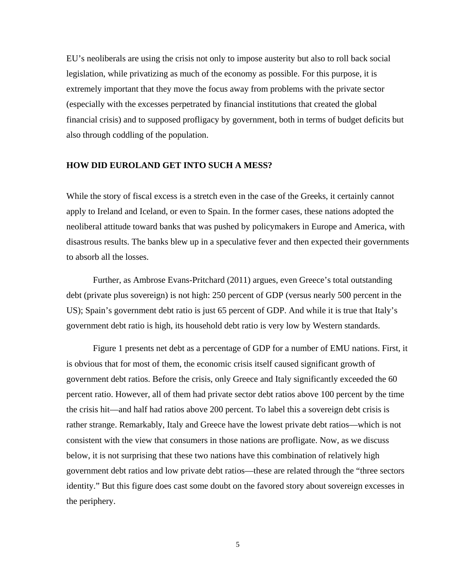EU's neoliberals are using the crisis not only to impose austerity but also to roll back social legislation, while privatizing as much of the economy as possible. For this purpose, it is extremely important that they move the focus away from problems with the private sector (especially with the excesses perpetrated by financial institutions that created the global financial crisis) and to supposed profligacy by government, both in terms of budget deficits but also through coddling of the population.

#### **HOW DID EUROLAND GET INTO SUCH A MESS?**

While the story of fiscal excess is a stretch even in the case of the Greeks, it certainly cannot apply to Ireland and Iceland, or even to Spain. In the former cases, these nations adopted the neoliberal attitude toward banks that was pushed by policymakers in Europe and America, with disastrous results. The banks blew up in a speculative fever and then expected their governments to absorb all the losses.

Further, as Ambrose Evans-Pritchard (2011) argues, even Greece's total outstanding debt (private plus sovereign) is not high: 250 percent of GDP (versus nearly 500 percent in the US); Spain's government debt ratio is just 65 percent of GDP. And while it is true that Italy's government debt ratio is high, its household debt ratio is very low by Western standards.

Figure 1 presents net debt as a percentage of GDP for a number of EMU nations. First, it is obvious that for most of them, the economic crisis itself caused significant growth of government debt ratios. Before the crisis, only Greece and Italy significantly exceeded the 60 percent ratio. However, all of them had private sector debt ratios above 100 percent by the time the crisis hit—and half had ratios above 200 percent. To label this a sovereign debt crisis is rather strange. Remarkably, Italy and Greece have the lowest private debt ratios—which is not consistent with the view that consumers in those nations are profligate. Now, as we discuss below, it is not surprising that these two nations have this combination of relatively high government debt ratios and low private debt ratios—these are related through the "three sectors identity." But this figure does cast some doubt on the favored story about sovereign excesses in the periphery.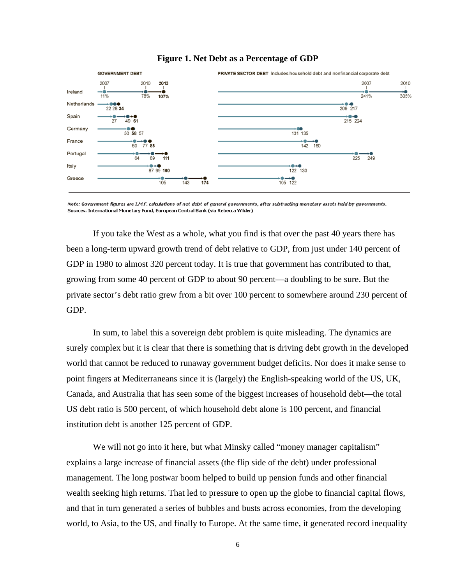

#### **Figure 1. Net Debt as a Percentage of GDP**

Note: Government figures are I.M.F. calculations of net debt of general governments, after subtracting monetary assets held by governments. Sources: International Monetary Fund; European Central Bank (via Rebecca Wilder)

If you take the West as a whole, what you find is that over the past 40 years there has been a long-term upward growth trend of debt relative to GDP, from just under 140 percent of GDP in 1980 to almost 320 percent today. It is true that government has contributed to that, growing from some 40 percent of GDP to about 90 percent—a doubling to be sure. But the private sector's debt ratio grew from a bit over 100 percent to somewhere around 230 percent of GDP.

In sum, to label this a sovereign debt problem is quite misleading. The dynamics are surely complex but it is clear that there is something that is driving debt growth in the developed world that cannot be reduced to runaway government budget deficits. Nor does it make sense to point fingers at Mediterraneans since it is (largely) the English-speaking world of the US, UK, Canada, and Australia that has seen some of the biggest increases of household debt—the total US debt ratio is 500 percent, of which household debt alone is 100 percent, and financial institution debt is another 125 percent of GDP.

We will not go into it here, but what Minsky called "money manager capitalism" explains a large increase of financial assets (the flip side of the debt) under professional management. The long postwar boom helped to build up pension funds and other financial wealth seeking high returns. That led to pressure to open up the globe to financial capital flows, and that in turn generated a series of bubbles and busts across economies, from the developing world, to Asia, to the US, and finally to Europe. At the same time, it generated record inequality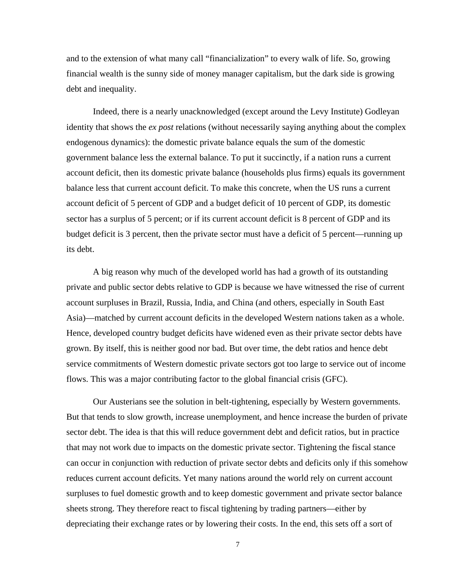and to the extension of what many call "financialization" to every walk of life. So, growing financial wealth is the sunny side of money manager capitalism, but the dark side is growing debt and inequality.

Indeed, there is a nearly unacknowledged (except around the Levy Institute) Godleyan identity that shows the *ex post* relations (without necessarily saying anything about the complex endogenous dynamics): the domestic private balance equals the sum of the domestic government balance less the external balance. To put it succinctly, if a nation runs a current account deficit, then its domestic private balance (households plus firms) equals its government balance less that current account deficit. To make this concrete, when the US runs a current account deficit of 5 percent of GDP and a budget deficit of 10 percent of GDP, its domestic sector has a surplus of 5 percent; or if its current account deficit is 8 percent of GDP and its budget deficit is 3 percent, then the private sector must have a deficit of 5 percent—running up its debt.

A big reason why much of the developed world has had a growth of its outstanding private and public sector debts relative to GDP is because we have witnessed the rise of current account surpluses in Brazil, Russia, India, and China (and others, especially in South East Asia)—matched by current account deficits in the developed Western nations taken as a whole. Hence, developed country budget deficits have widened even as their private sector debts have grown. By itself, this is neither good nor bad. But over time, the debt ratios and hence debt service commitments of Western domestic private sectors got too large to service out of income flows. This was a major contributing factor to the global financial crisis (GFC).

Our Austerians see the solution in belt-tightening, especially by Western governments. But that tends to slow growth, increase unemployment, and hence increase the burden of private sector debt. The idea is that this will reduce government debt and deficit ratios, but in practice that may not work due to impacts on the domestic private sector. Tightening the fiscal stance can occur in conjunction with reduction of private sector debts and deficits only if this somehow reduces current account deficits. Yet many nations around the world rely on current account surpluses to fuel domestic growth and to keep domestic government and private sector balance sheets strong. They therefore react to fiscal tightening by trading partners—either by depreciating their exchange rates or by lowering their costs. In the end, this sets off a sort of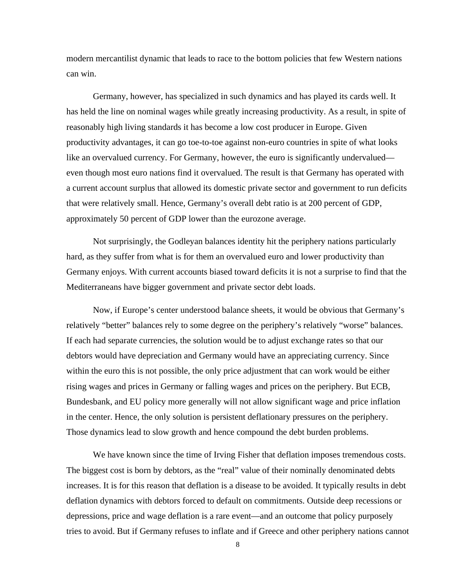modern mercantilist dynamic that leads to race to the bottom policies that few Western nations can win.

Germany, however, has specialized in such dynamics and has played its cards well. It has held the line on nominal wages while greatly increasing productivity. As a result, in spite of reasonably high living standards it has become a low cost producer in Europe. Given productivity advantages, it can go toe-to-toe against non-euro countries in spite of what looks like an overvalued currency. For Germany, however, the euro is significantly undervalued even though most euro nations find it overvalued. The result is that Germany has operated with a current account surplus that allowed its domestic private sector and government to run deficits that were relatively small. Hence, Germany's overall debt ratio is at 200 percent of GDP, approximately 50 percent of GDP lower than the eurozone average.

Not surprisingly, the Godleyan balances identity hit the periphery nations particularly hard, as they suffer from what is for them an overvalued euro and lower productivity than Germany enjoys. With current accounts biased toward deficits it is not a surprise to find that the Mediterraneans have bigger government and private sector debt loads.

Now, if Europe's center understood balance sheets, it would be obvious that Germany's relatively "better" balances rely to some degree on the periphery's relatively "worse" balances. If each had separate currencies, the solution would be to adjust exchange rates so that our debtors would have depreciation and Germany would have an appreciating currency. Since within the euro this is not possible, the only price adjustment that can work would be either rising wages and prices in Germany or falling wages and prices on the periphery. But ECB, Bundesbank, and EU policy more generally will not allow significant wage and price inflation in the center. Hence, the only solution is persistent deflationary pressures on the periphery. Those dynamics lead to slow growth and hence compound the debt burden problems.

We have known since the time of Irving Fisher that deflation imposes tremendous costs. The biggest cost is born by debtors, as the "real" value of their nominally denominated debts increases. It is for this reason that deflation is a disease to be avoided. It typically results in debt deflation dynamics with debtors forced to default on commitments. Outside deep recessions or depressions, price and wage deflation is a rare event—and an outcome that policy purposely tries to avoid. But if Germany refuses to inflate and if Greece and other periphery nations cannot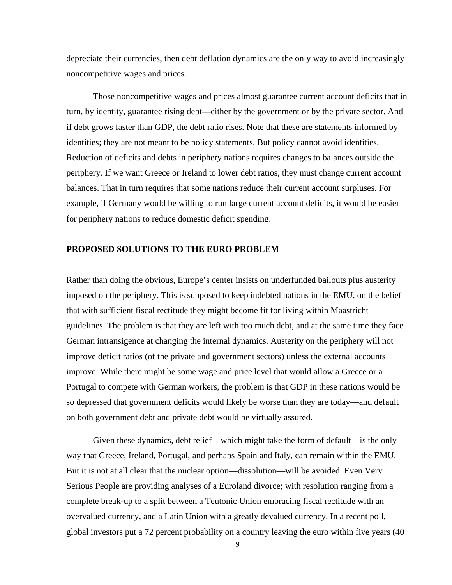depreciate their currencies, then debt deflation dynamics are the only way to avoid increasingly noncompetitive wages and prices.

Those noncompetitive wages and prices almost guarantee current account deficits that in turn, by identity, guarantee rising debt—either by the government or by the private sector. And if debt grows faster than GDP, the debt ratio rises. Note that these are statements informed by identities; they are not meant to be policy statements. But policy cannot avoid identities. Reduction of deficits and debts in periphery nations requires changes to balances outside the periphery. If we want Greece or Ireland to lower debt ratios, they must change current account balances. That in turn requires that some nations reduce their current account surpluses. For example, if Germany would be willing to run large current account deficits, it would be easier for periphery nations to reduce domestic deficit spending.

## **PROPOSED SOLUTIONS TO THE EURO PROBLEM**

Rather than doing the obvious, Europe's center insists on underfunded bailouts plus austerity imposed on the periphery. This is supposed to keep indebted nations in the EMU, on the belief that with sufficient fiscal rectitude they might become fit for living within Maastricht guidelines. The problem is that they are left with too much debt, and at the same time they face German intransigence at changing the internal dynamics. Austerity on the periphery will not improve deficit ratios (of the private and government sectors) unless the external accounts improve. While there might be some wage and price level that would allow a Greece or a Portugal to compete with German workers, the problem is that GDP in these nations would be so depressed that government deficits would likely be worse than they are today—and default on both government debt and private debt would be virtually assured.

Given these dynamics, debt relief—which might take the form of default—is the only way that Greece, Ireland, Portugal, and perhaps Spain and Italy, can remain within the EMU. But it is not at all clear that the nuclear option—dissolution—will be avoided. Even Very Serious People are providing analyses of a Euroland divorce; with resolution ranging from a complete break-up to a split between a Teutonic Union embracing fiscal rectitude with an overvalued currency, and a Latin Union with a greatly devalued currency. In a recent poll, global investors put a 72 percent probability on a country leaving the euro within five years (40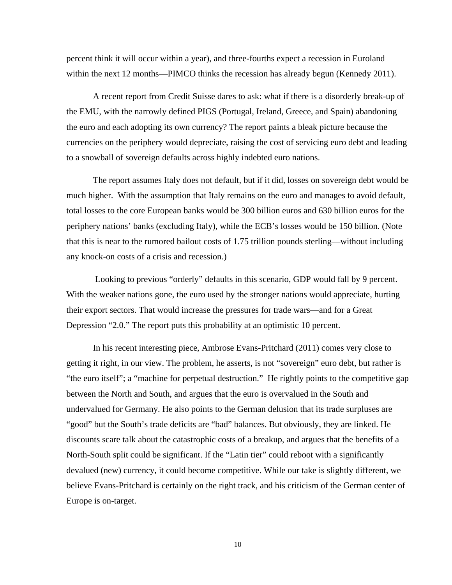percent think it will occur within a year), and three-fourths expect a recession in Euroland within the next 12 months—PIMCO thinks the recession has already begun (Kennedy 2011).

A recent report from Credit Suisse dares to ask: what if there is a disorderly break-up of the EMU, with the narrowly defined PIGS (Portugal, Ireland, Greece, and Spain) abandoning the euro and each adopting its own currency? The report paints a bleak picture because the currencies on the periphery would depreciate, raising the cost of servicing euro debt and leading to a snowball of sovereign defaults across highly indebted euro nations.

The report assumes Italy does not default, but if it did, losses on sovereign debt would be much higher. With the assumption that Italy remains on the euro and manages to avoid default, total losses to the core European banks would be 300 billion euros and 630 billion euros for the periphery nations' banks (excluding Italy), while the ECB's losses would be 150 billion. (Note that this is near to the rumored bailout costs of 1.75 trillion pounds sterling—without including any knock-on costs of a crisis and recession.)

 Looking to previous "orderly" defaults in this scenario, GDP would fall by 9 percent. With the weaker nations gone, the euro used by the stronger nations would appreciate, hurting their export sectors. That would increase the pressures for trade wars—and for a Great Depression "2.0." The report puts this probability at an optimistic 10 percent.

In his recent interesting piece, Ambrose Evans-Pritchard (2011) comes very close to getting it right, in our view. The problem, he asserts, is not "sovereign" euro debt, but rather is "the euro itself"; a "machine for perpetual destruction." He rightly points to the competitive gap between the North and South, and argues that the euro is overvalued in the South and undervalued for Germany. He also points to the German delusion that its trade surpluses are "good" but the South's trade deficits are "bad" balances. But obviously, they are linked. He discounts scare talk about the catastrophic costs of a breakup, and argues that the benefits of a North-South split could be significant. If the "Latin tier" could reboot with a significantly devalued (new) currency, it could become competitive. While our take is slightly different, we believe Evans-Pritchard is certainly on the right track, and his criticism of the German center of Europe is on-target.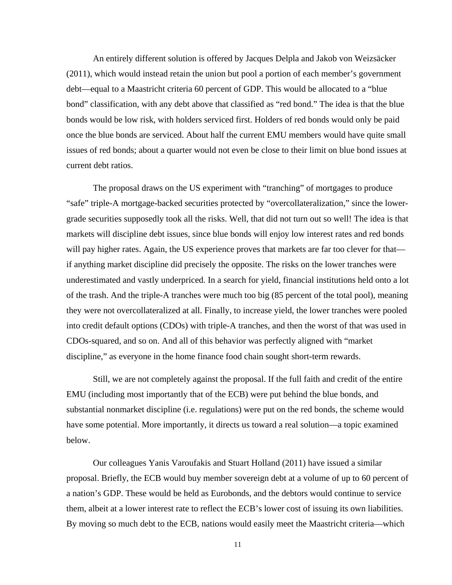An entirely different solution is offered by Jacques Delpla and Jakob von Weizsäcker (2011), which would instead retain the union but pool a portion of each member's government debt—equal to a Maastricht criteria 60 percent of GDP. This would be allocated to a "blue bond" classification, with any debt above that classified as "red bond." The idea is that the blue bonds would be low risk, with holders serviced first. Holders of red bonds would only be paid once the blue bonds are serviced. About half the current EMU members would have quite small issues of red bonds; about a quarter would not even be close to their limit on blue bond issues at current debt ratios.

The proposal draws on the US experiment with "tranching" of mortgages to produce "safe" triple-A mortgage-backed securities protected by "overcollateralization," since the lowergrade securities supposedly took all the risks. Well, that did not turn out so well! The idea is that markets will discipline debt issues, since blue bonds will enjoy low interest rates and red bonds will pay higher rates. Again, the US experience proves that markets are far too clever for that if anything market discipline did precisely the opposite. The risks on the lower tranches were underestimated and vastly underpriced. In a search for yield, financial institutions held onto a lot of the trash. And the triple-A tranches were much too big (85 percent of the total pool), meaning they were not overcollateralized at all. Finally, to increase yield, the lower tranches were pooled into credit default options (CDOs) with triple-A tranches, and then the worst of that was used in CDOs-squared, and so on. And all of this behavior was perfectly aligned with "market discipline," as everyone in the home finance food chain sought short-term rewards.

Still, we are not completely against the proposal. If the full faith and credit of the entire EMU (including most importantly that of the ECB) were put behind the blue bonds, and substantial nonmarket discipline (i.e. regulations) were put on the red bonds, the scheme would have some potential. More importantly, it directs us toward a real solution—a topic examined below.

Our colleagues Yanis Varoufakis and Stuart Holland (2011) have issued a similar proposal. Briefly, the ECB would buy member sovereign debt at a volume of up to 60 percent of a nation's GDP. These would be held as Eurobonds, and the debtors would continue to service them, albeit at a lower interest rate to reflect the ECB's lower cost of issuing its own liabilities. By moving so much debt to the ECB, nations would easily meet the Maastricht criteria—which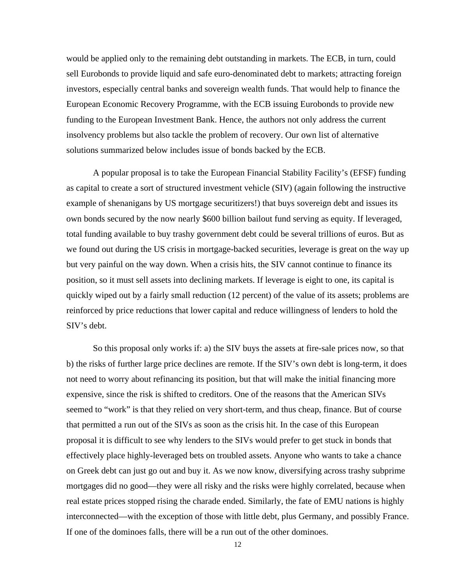would be applied only to the remaining debt outstanding in markets. The ECB, in turn, could sell Eurobonds to provide liquid and safe euro-denominated debt to markets; attracting foreign investors, especially central banks and sovereign wealth funds. That would help to finance the European Economic Recovery Programme, with the ECB issuing Eurobonds to provide new funding to the European Investment Bank. Hence, the authors not only address the current insolvency problems but also tackle the problem of recovery. Our own list of alternative solutions summarized below includes issue of bonds backed by the ECB.

A popular proposal is to take the European Financial Stability Facility's (EFSF) funding as capital to create a sort of structured investment vehicle (SIV) (again following the instructive example of shenanigans by US mortgage securitizers!) that buys sovereign debt and issues its own bonds secured by the now nearly \$600 billion bailout fund serving as equity. If leveraged, total funding available to buy trashy government debt could be several trillions of euros. But as we found out during the US crisis in mortgage-backed securities, leverage is great on the way up but very painful on the way down. When a crisis hits, the SIV cannot continue to finance its position, so it must sell assets into declining markets. If leverage is eight to one, its capital is quickly wiped out by a fairly small reduction (12 percent) of the value of its assets; problems are reinforced by price reductions that lower capital and reduce willingness of lenders to hold the SIV's debt.

So this proposal only works if: a) the SIV buys the assets at fire-sale prices now, so that b) the risks of further large price declines are remote. If the SIV's own debt is long-term, it does not need to worry about refinancing its position, but that will make the initial financing more expensive, since the risk is shifted to creditors. One of the reasons that the American SIVs seemed to "work" is that they relied on very short-term, and thus cheap, finance. But of course that permitted a run out of the SIVs as soon as the crisis hit. In the case of this European proposal it is difficult to see why lenders to the SIVs would prefer to get stuck in bonds that effectively place highly-leveraged bets on troubled assets. Anyone who wants to take a chance on Greek debt can just go out and buy it. As we now know, diversifying across trashy subprime mortgages did no good—they were all risky and the risks were highly correlated, because when real estate prices stopped rising the charade ended. Similarly, the fate of EMU nations is highly interconnected—with the exception of those with little debt, plus Germany, and possibly France. If one of the dominoes falls, there will be a run out of the other dominoes.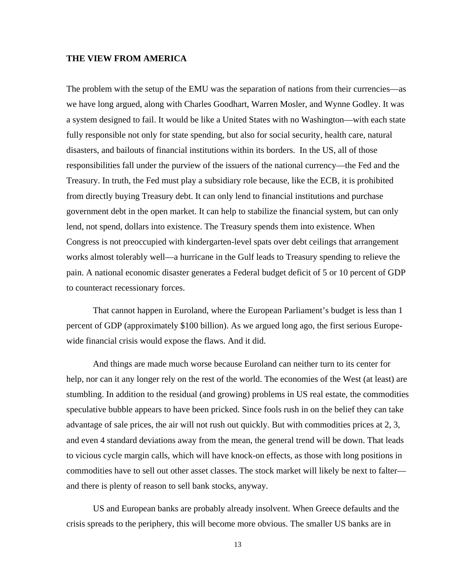#### **THE VIEW FROM AMERICA**

The problem with the setup of the EMU was the separation of nations from their currencies—as we have long argued, along with Charles Goodhart, Warren Mosler, and Wynne Godley. It was a system designed to fail. It would be like a United States with no Washington—with each state fully responsible not only for state spending, but also for social security, health care, natural disasters, and bailouts of financial institutions within its borders. In the US, all of those responsibilities fall under the purview of the issuers of the national currency—the Fed and the Treasury. In truth, the Fed must play a subsidiary role because, like the ECB, it is prohibited from directly buying Treasury debt. It can only lend to financial institutions and purchase government debt in the open market. It can help to stabilize the financial system, but can only lend, not spend, dollars into existence. The Treasury spends them into existence. When Congress is not preoccupied with kindergarten-level spats over debt ceilings that arrangement works almost tolerably well—a hurricane in the Gulf leads to Treasury spending to relieve the pain. A national economic disaster generates a Federal budget deficit of 5 or 10 percent of GDP to counteract recessionary forces.

That cannot happen in Euroland, where the European Parliament's budget is less than 1 percent of GDP (approximately \$100 billion). As we argued long ago, the first serious Europewide financial crisis would expose the flaws. And it did.

And things are made much worse because Euroland can neither turn to its center for help, nor can it any longer rely on the rest of the world. The economies of the West (at least) are stumbling. In addition to the residual (and growing) problems in US real estate, the commodities speculative bubble appears to have been pricked. Since fools rush in on the belief they can take advantage of sale prices, the air will not rush out quickly. But with commodities prices at 2, 3, and even 4 standard deviations away from the mean, the general trend will be down. That leads to vicious cycle margin calls, which will have knock-on effects, as those with long positions in commodities have to sell out other asset classes. The stock market will likely be next to falter and there is plenty of reason to sell bank stocks, anyway.

US and European banks are probably already insolvent. When Greece defaults and the crisis spreads to the periphery, this will become more obvious. The smaller US banks are in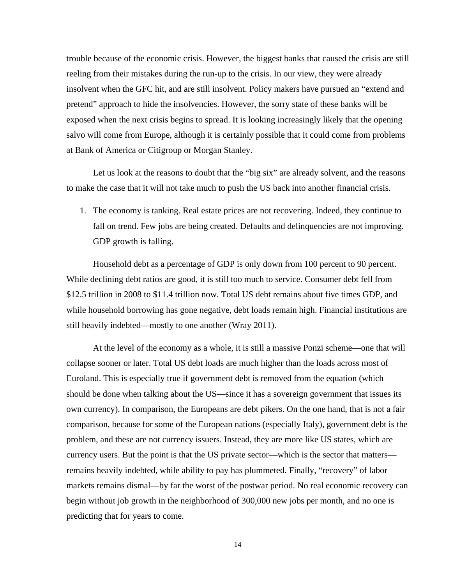trouble because of the economic crisis. However, the biggest banks that caused the crisis are still reeling from their mistakes during the run-up to the crisis. In our view, they were already insolvent when the GFC hit, and are still insolvent. Policy makers have pursued an "extend and pretend" approach to hide the insolvencies. However, the sorry state of these banks will be exposed when the next crisis begins to spread. It is looking increasingly likely that the opening salvo will come from Europe, although it is certainly possible that it could come from problems at Bank of America or Citigroup or Morgan Stanley.

Let us look at the reasons to doubt that the "big six" are already solvent, and the reasons to make the case that it will not take much to push the US back into another financial crisis.

1. The economy is tanking. Real estate prices are not recovering. Indeed, they continue to fall on trend. Few jobs are being created. Defaults and delinquencies are not improving. GDP growth is falling.

Household debt as a percentage of GDP is only down from 100 percent to 90 percent. While declining debt ratios are good, it is still too much to service. Consumer debt fell from \$12.5 trillion in 2008 to \$11.4 trillion now. Total US debt remains about five times GDP, and while household borrowing has gone negative, debt loads remain high. Financial institutions are still heavily indebted—mostly to one another (Wray 2011).

At the level of the economy as a whole, it is still a massive Ponzi scheme—one that will collapse sooner or later. Total US debt loads are much higher than the loads across most of Euroland. This is especially true if government debt is removed from the equation (which should be done when talking about the US—since it has a sovereign government that issues its own currency). In comparison, the Europeans are debt pikers. On the one hand, that is not a fair comparison, because for some of the European nations (especially Italy), government debt is the problem, and these are not currency issuers. Instead, they are more like US states, which are currency users. But the point is that the US private sector—which is the sector that matters remains heavily indebted, while ability to pay has plummeted. Finally, "recovery" of labor markets remains dismal—by far the worst of the postwar period. No real economic recovery can begin without job growth in the neighborhood of 300,000 new jobs per month, and no one is predicting that for years to come.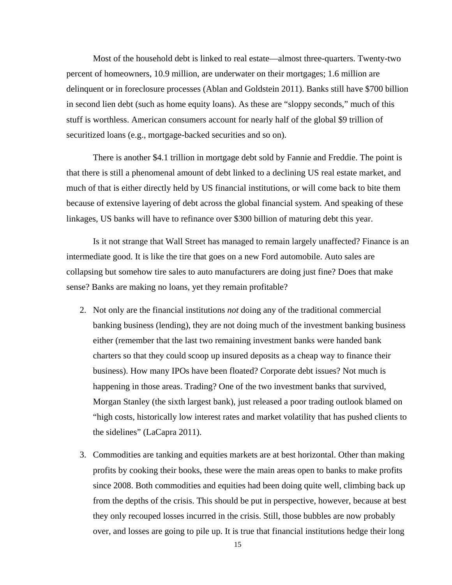Most of the household debt is linked to real estate—almost three-quarters. Twenty-two percent of homeowners, 10.9 million, are underwater on their mortgages; 1.6 million are delinquent or in foreclosure processes (Ablan and Goldstein 2011). Banks still have \$700 billion in second lien debt (such as home equity loans). As these are "sloppy seconds," much of this stuff is worthless. American consumers account for nearly half of the global \$9 trillion of securitized loans (e.g., mortgage-backed securities and so on).

There is another \$4.1 trillion in mortgage debt sold by Fannie and Freddie. The point is that there is still a phenomenal amount of debt linked to a declining US real estate market, and much of that is either directly held by US financial institutions, or will come back to bite them because of extensive layering of debt across the global financial system. And speaking of these linkages, US banks will have to refinance over \$300 billion of maturing debt this year.

Is it not strange that Wall Street has managed to remain largely unaffected? Finance is an intermediate good. It is like the tire that goes on a new Ford automobile. Auto sales are collapsing but somehow tire sales to auto manufacturers are doing just fine? Does that make sense? Banks are making no loans, yet they remain profitable?

- 2. Not only are the financial institutions *not* doing any of the traditional commercial banking business (lending), they are not doing much of the investment banking business either (remember that the last two remaining investment banks were handed bank charters so that they could scoop up insured deposits as a cheap way to finance their business). How many IPOs have been floated? Corporate debt issues? Not much is happening in those areas. Trading? One of the two investment banks that survived, Morgan Stanley (the sixth largest bank), just released a poor trading outlook blamed on "high costs, historically low interest rates and market volatility that has pushed clients to the sidelines" (LaCapra 2011).
- 3. Commodities are tanking and equities markets are at best horizontal. Other than making profits by cooking their books, these were the main areas open to banks to make profits since 2008. Both commodities and equities had been doing quite well, climbing back up from the depths of the crisis. This should be put in perspective, however, because at best they only recouped losses incurred in the crisis. Still, those bubbles are now probably over, and losses are going to pile up. It is true that financial institutions hedge their long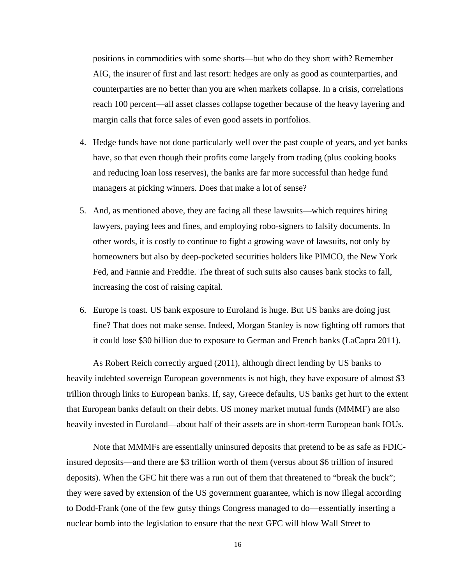positions in commodities with some shorts—but who do they short with? Remember AIG, the insurer of first and last resort: hedges are only as good as counterparties, and counterparties are no better than you are when markets collapse. In a crisis, correlations reach 100 percent—all asset classes collapse together because of the heavy layering and margin calls that force sales of even good assets in portfolios.

- 4. Hedge funds have not done particularly well over the past couple of years, and yet banks have, so that even though their profits come largely from trading (plus cooking books and reducing loan loss reserves), the banks are far more successful than hedge fund managers at picking winners. Does that make a lot of sense?
- 5. And, as mentioned above, they are facing all these lawsuits—which requires hiring lawyers, paying fees and fines, and employing robo-signers to falsify documents. In other words, it is costly to continue to fight a growing wave of lawsuits, not only by homeowners but also by deep-pocketed securities holders like PIMCO, the New York Fed, and Fannie and Freddie. The threat of such suits also causes bank stocks to fall, increasing the cost of raising capital.
- 6. Europe is toast. US bank exposure to Euroland is huge. But US banks are doing just fine? That does not make sense. Indeed, Morgan Stanley is now fighting off rumors that it could lose \$30 billion due to exposure to German and French banks (LaCapra 2011).

As Robert Reich correctly argued (2011), although direct lending by US banks to heavily indebted sovereign European governments is not high, they have exposure of almost \$3 trillion through links to European banks. If, say, Greece defaults, US banks get hurt to the extent that European banks default on their debts. US money market mutual funds (MMMF) are also heavily invested in Euroland—about half of their assets are in short-term European bank IOUs.

Note that MMMFs are essentially uninsured deposits that pretend to be as safe as FDICinsured deposits—and there are \$3 trillion worth of them (versus about \$6 trillion of insured deposits). When the GFC hit there was a run out of them that threatened to "break the buck"; they were saved by extension of the US government guarantee, which is now illegal according to Dodd-Frank (one of the few gutsy things Congress managed to do—essentially inserting a nuclear bomb into the legislation to ensure that the next GFC will blow Wall Street to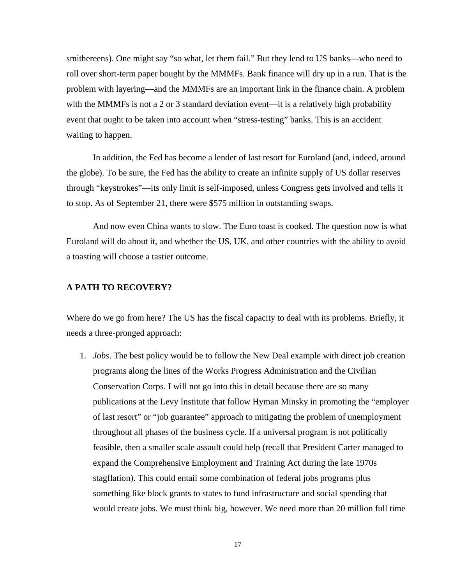smithereens). One might say "so what, let them fail." But they lend to US banks—who need to roll over short-term paper bought by the MMMFs. Bank finance will dry up in a run. That is the problem with layering—and the MMMFs are an important link in the finance chain. A problem with the MMMFs is not a 2 or 3 standard deviation event—it is a relatively high probability event that ought to be taken into account when "stress-testing" banks. This is an accident waiting to happen.

In addition, the Fed has become a lender of last resort for Euroland (and, indeed, around the globe). To be sure, the Fed has the ability to create an infinite supply of US dollar reserves through "keystrokes"—its only limit is self-imposed, unless Congress gets involved and tells it to stop. As of September 21, there were \$575 million in outstanding swaps.

And now even China wants to slow. The Euro toast is cooked. The question now is what Euroland will do about it, and whether the US, UK, and other countries with the ability to avoid a toasting will choose a tastier outcome.

#### **A PATH TO RECOVERY?**

Where do we go from here? The US has the fiscal capacity to deal with its problems. Briefly, it needs a three-pronged approach:

1. *Jobs*. The best policy would be to follow the New Deal example with direct job creation programs along the lines of the Works Progress Administration and the Civilian Conservation Corps. I will not go into this in detail because there are so many publications at the Levy Institute that follow Hyman Minsky in promoting the "employer of last resort" or "job guarantee" approach to mitigating the problem of unemployment throughout all phases of the business cycle. If a universal program is not politically feasible, then a smaller scale assault could help (recall that President Carter managed to expand the Comprehensive Employment and Training Act during the late 1970s stagflation). This could entail some combination of federal jobs programs plus something like block grants to states to fund infrastructure and social spending that would create jobs. We must think big, however. We need more than 20 million full time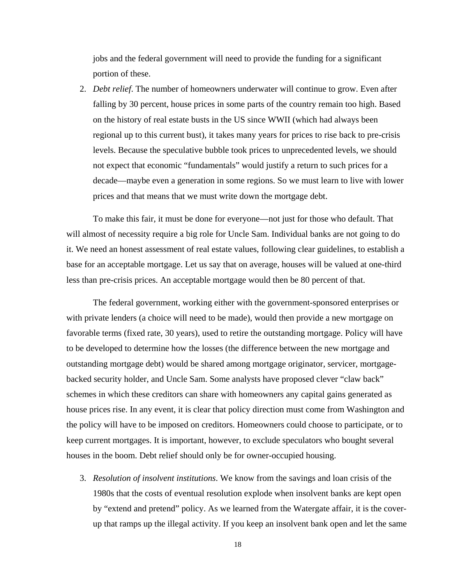jobs and the federal government will need to provide the funding for a significant portion of these.

2. *Debt relief*. The number of homeowners underwater will continue to grow. Even after falling by 30 percent, house prices in some parts of the country remain too high. Based on the history of real estate busts in the US since WWII (which had always been regional up to this current bust), it takes many years for prices to rise back to pre-crisis levels. Because the speculative bubble took prices to unprecedented levels, we should not expect that economic "fundamentals" would justify a return to such prices for a decade—maybe even a generation in some regions. So we must learn to live with lower prices and that means that we must write down the mortgage debt.

To make this fair, it must be done for everyone—not just for those who default. That will almost of necessity require a big role for Uncle Sam. Individual banks are not going to do it. We need an honest assessment of real estate values, following clear guidelines, to establish a base for an acceptable mortgage. Let us say that on average, houses will be valued at one-third less than pre-crisis prices. An acceptable mortgage would then be 80 percent of that.

The federal government, working either with the government-sponsored enterprises or with private lenders (a choice will need to be made), would then provide a new mortgage on favorable terms (fixed rate, 30 years), used to retire the outstanding mortgage. Policy will have to be developed to determine how the losses (the difference between the new mortgage and outstanding mortgage debt) would be shared among mortgage originator, servicer, mortgagebacked security holder, and Uncle Sam. Some analysts have proposed clever "claw back" schemes in which these creditors can share with homeowners any capital gains generated as house prices rise. In any event, it is clear that policy direction must come from Washington and the policy will have to be imposed on creditors. Homeowners could choose to participate, or to keep current mortgages. It is important, however, to exclude speculators who bought several houses in the boom. Debt relief should only be for owner-occupied housing.

3. *Resolution of insolvent institutions*. We know from the savings and loan crisis of the 1980s that the costs of eventual resolution explode when insolvent banks are kept open by "extend and pretend" policy. As we learned from the Watergate affair, it is the coverup that ramps up the illegal activity. If you keep an insolvent bank open and let the same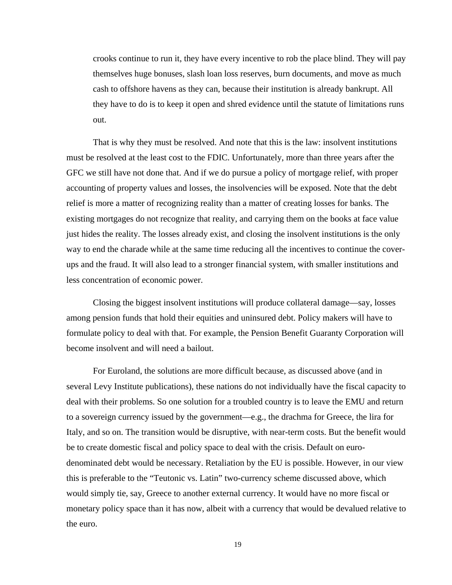crooks continue to run it, they have every incentive to rob the place blind. They will pay themselves huge bonuses, slash loan loss reserves, burn documents, and move as much cash to offshore havens as they can, because their institution is already bankrupt. All they have to do is to keep it open and shred evidence until the statute of limitations runs out.

That is why they must be resolved. And note that this is the law: insolvent institutions must be resolved at the least cost to the FDIC. Unfortunately, more than three years after the GFC we still have not done that. And if we do pursue a policy of mortgage relief, with proper accounting of property values and losses, the insolvencies will be exposed. Note that the debt relief is more a matter of recognizing reality than a matter of creating losses for banks. The existing mortgages do not recognize that reality, and carrying them on the books at face value just hides the reality. The losses already exist, and closing the insolvent institutions is the only way to end the charade while at the same time reducing all the incentives to continue the coverups and the fraud. It will also lead to a stronger financial system, with smaller institutions and less concentration of economic power.

Closing the biggest insolvent institutions will produce collateral damage—say, losses among pension funds that hold their equities and uninsured debt. Policy makers will have to formulate policy to deal with that. For example, the Pension Benefit Guaranty Corporation will become insolvent and will need a bailout.

For Euroland, the solutions are more difficult because, as discussed above (and in several Levy Institute publications), these nations do not individually have the fiscal capacity to deal with their problems. So one solution for a troubled country is to leave the EMU and return to a sovereign currency issued by the government—e.g., the drachma for Greece, the lira for Italy, and so on. The transition would be disruptive, with near-term costs. But the benefit would be to create domestic fiscal and policy space to deal with the crisis. Default on eurodenominated debt would be necessary. Retaliation by the EU is possible. However, in our view this is preferable to the "Teutonic vs. Latin" two-currency scheme discussed above, which would simply tie, say, Greece to another external currency. It would have no more fiscal or monetary policy space than it has now, albeit with a currency that would be devalued relative to the euro.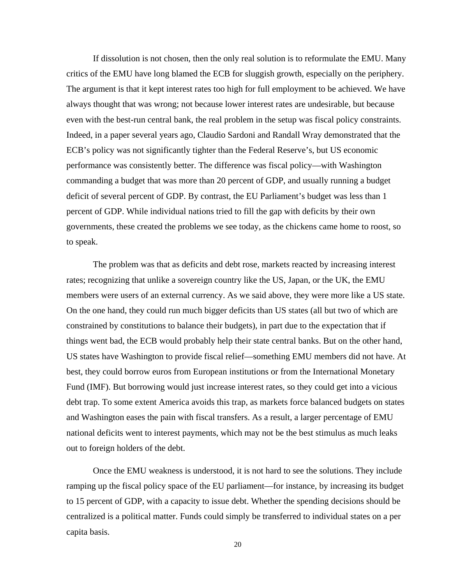If dissolution is not chosen, then the only real solution is to reformulate the EMU. Many critics of the EMU have long blamed the ECB for sluggish growth, especially on the periphery. The argument is that it kept interest rates too high for full employment to be achieved. We have always thought that was wrong; not because lower interest rates are undesirable, but because even with the best-run central bank, the real problem in the setup was fiscal policy constraints. Indeed, in a paper several years ago, Claudio Sardoni and Randall Wray demonstrated that the ECB's policy was not significantly tighter than the Federal Reserve's, but US economic performance was consistently better. The difference was fiscal policy—with Washington commanding a budget that was more than 20 percent of GDP, and usually running a budget deficit of several percent of GDP. By contrast, the EU Parliament's budget was less than 1 percent of GDP. While individual nations tried to fill the gap with deficits by their own governments, these created the problems we see today, as the chickens came home to roost, so to speak.

The problem was that as deficits and debt rose, markets reacted by increasing interest rates; recognizing that unlike a sovereign country like the US, Japan, or the UK, the EMU members were users of an external currency. As we said above, they were more like a US state. On the one hand, they could run much bigger deficits than US states (all but two of which are constrained by constitutions to balance their budgets), in part due to the expectation that if things went bad, the ECB would probably help their state central banks. But on the other hand, US states have Washington to provide fiscal relief—something EMU members did not have. At best, they could borrow euros from European institutions or from the International Monetary Fund (IMF). But borrowing would just increase interest rates, so they could get into a vicious debt trap. To some extent America avoids this trap, as markets force balanced budgets on states and Washington eases the pain with fiscal transfers. As a result, a larger percentage of EMU national deficits went to interest payments, which may not be the best stimulus as much leaks out to foreign holders of the debt.

Once the EMU weakness is understood, it is not hard to see the solutions. They include ramping up the fiscal policy space of the EU parliament—for instance, by increasing its budget to 15 percent of GDP, with a capacity to issue debt. Whether the spending decisions should be centralized is a political matter. Funds could simply be transferred to individual states on a per capita basis.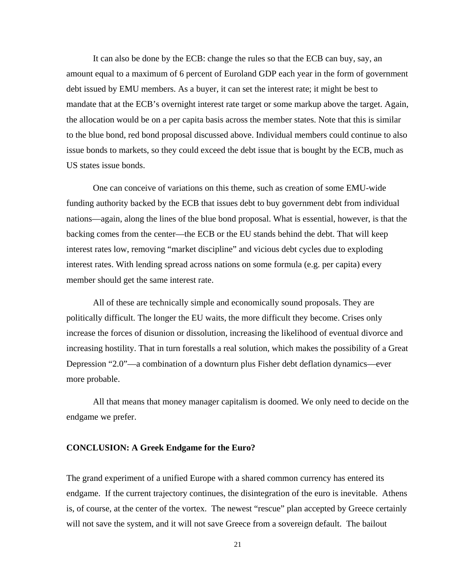It can also be done by the ECB: change the rules so that the ECB can buy, say, an amount equal to a maximum of 6 percent of Euroland GDP each year in the form of government debt issued by EMU members. As a buyer, it can set the interest rate; it might be best to mandate that at the ECB's overnight interest rate target or some markup above the target. Again, the allocation would be on a per capita basis across the member states. Note that this is similar to the blue bond, red bond proposal discussed above. Individual members could continue to also issue bonds to markets, so they could exceed the debt issue that is bought by the ECB, much as US states issue bonds.

One can conceive of variations on this theme, such as creation of some EMU-wide funding authority backed by the ECB that issues debt to buy government debt from individual nations—again, along the lines of the blue bond proposal. What is essential, however, is that the backing comes from the center—the ECB or the EU stands behind the debt. That will keep interest rates low, removing "market discipline" and vicious debt cycles due to exploding interest rates. With lending spread across nations on some formula (e.g. per capita) every member should get the same interest rate.

All of these are technically simple and economically sound proposals. They are politically difficult. The longer the EU waits, the more difficult they become. Crises only increase the forces of disunion or dissolution, increasing the likelihood of eventual divorce and increasing hostility. That in turn forestalls a real solution, which makes the possibility of a Great Depression "2.0"—a combination of a downturn plus Fisher debt deflation dynamics—ever more probable.

All that means that money manager capitalism is doomed. We only need to decide on the endgame we prefer.

#### **CONCLUSION: A Greek Endgame for the Euro?**

The grand experiment of a unified Europe with a shared common currency has entered its endgame. If the current trajectory continues, the disintegration of the euro is inevitable. Athens is, of course, at the center of the vortex. The newest "rescue" plan accepted by Greece certainly will not save the system, and it will not save Greece from a sovereign default. The bailout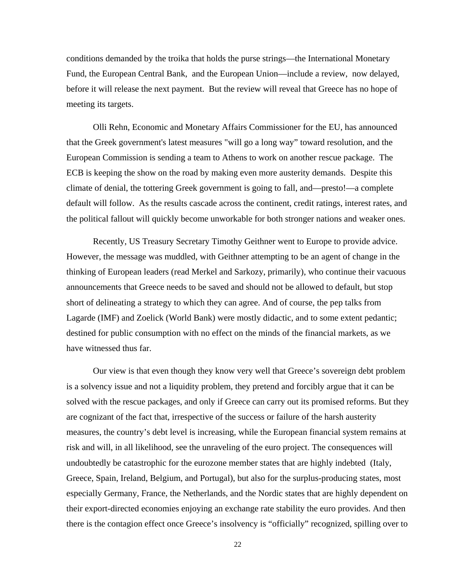conditions demanded by the troika that holds the purse strings—the International Monetary Fund, the European Central Bank, and the European Union—include a review, now delayed, before it will release the next payment. But the review will reveal that Greece has no hope of meeting its targets.

Olli Rehn, Economic and Monetary Affairs Commissioner for the EU, has announced that the Greek government's latest measures "will go a long way" toward resolution, and the European Commission is sending a team to Athens to work on another rescue package. The ECB is keeping the show on the road by making even more austerity demands. Despite this climate of denial, the tottering Greek government is going to fall, and—presto!—a complete default will follow. As the results cascade across the continent, credit ratings, interest rates, and the political fallout will quickly become unworkable for both stronger nations and weaker ones.

Recently, US Treasury Secretary Timothy Geithner went to Europe to provide advice. However, the message was muddled, with Geithner attempting to be an agent of change in the thinking of European leaders (read Merkel and Sarkozy, primarily), who continue their vacuous announcements that Greece needs to be saved and should not be allowed to default, but stop short of delineating a strategy to which they can agree. And of course, the pep talks from Lagarde (IMF) and Zoelick (World Bank) were mostly didactic, and to some extent pedantic; destined for public consumption with no effect on the minds of the financial markets, as we have witnessed thus far.

Our view is that even though they know very well that Greece's sovereign debt problem is a solvency issue and not a liquidity problem, they pretend and forcibly argue that it can be solved with the rescue packages, and only if Greece can carry out its promised reforms. But they are cognizant of the fact that, irrespective of the success or failure of the harsh austerity measures, the country's debt level is increasing, while the European financial system remains at risk and will, in all likelihood, see the unraveling of the euro project. The consequences will undoubtedly be catastrophic for the eurozone member states that are highly indebted (Italy, Greece, Spain, Ireland, Belgium, and Portugal), but also for the surplus-producing states, most especially Germany, France, the Netherlands, and the Nordic states that are highly dependent on their export-directed economies enjoying an exchange rate stability the euro provides. And then there is the contagion effect once Greece's insolvency is "officially" recognized, spilling over to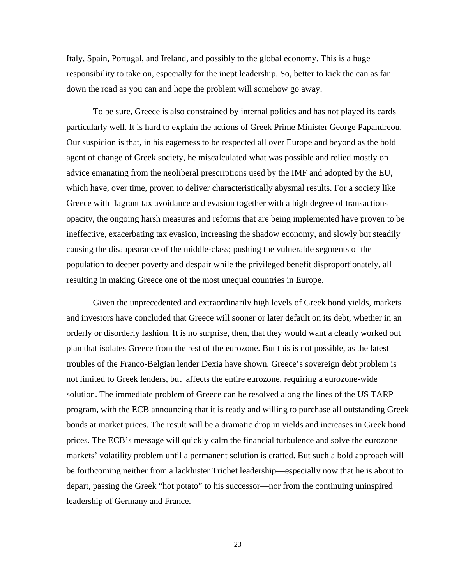Italy, Spain, Portugal, and Ireland, and possibly to the global economy. This is a huge responsibility to take on, especially for the inept leadership. So, better to kick the can as far down the road as you can and hope the problem will somehow go away.

To be sure, Greece is also constrained by internal politics and has not played its cards particularly well. It is hard to explain the actions of Greek Prime Minister George Papandreou. Our suspicion is that, in his eagerness to be respected all over Europe and beyond as the bold agent of change of Greek society, he miscalculated what was possible and relied mostly on advice emanating from the neoliberal prescriptions used by the IMF and adopted by the EU, which have, over time, proven to deliver characteristically abysmal results. For a society like Greece with flagrant tax avoidance and evasion together with a high degree of transactions opacity, the ongoing harsh measures and reforms that are being implemented have proven to be ineffective, exacerbating tax evasion, increasing the shadow economy, and slowly but steadily causing the disappearance of the middle-class; pushing the vulnerable segments of the population to deeper poverty and despair while the privileged benefit disproportionately, all resulting in making Greece one of the most unequal countries in Europe.

Given the unprecedented and extraordinarily high levels of Greek bond yields, markets and investors have concluded that Greece will sooner or later default on its debt, whether in an orderly or disorderly fashion. It is no surprise, then, that they would want a clearly worked out plan that isolates Greece from the rest of the eurozone. But this is not possible, as the latest troubles of the Franco-Belgian lender Dexia have shown. Greece's sovereign debt problem is not limited to Greek lenders, but affects the entire eurozone, requiring a eurozone-wide solution. The immediate problem of Greece can be resolved along the lines of the US TARP program, with the ECB announcing that it is ready and willing to purchase all outstanding Greek bonds at market prices. The result will be a dramatic drop in yields and increases in Greek bond prices. The ECB's message will quickly calm the financial turbulence and solve the eurozone markets' volatility problem until a permanent solution is crafted. But such a bold approach will be forthcoming neither from a lackluster Trichet leadership—especially now that he is about to depart, passing the Greek "hot potato" to his successor—nor from the continuing uninspired leadership of Germany and France.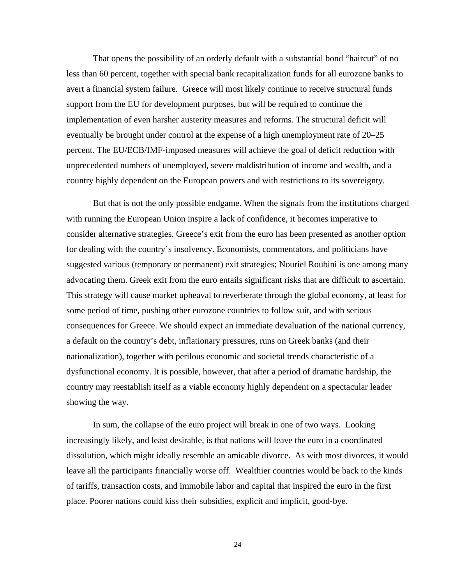That opens the possibility of an orderly default with a substantial bond "haircut" of no less than 60 percent, together with special bank recapitalization funds for all eurozone banks to avert a financial system failure. Greece will most likely continue to receive structural funds support from the EU for development purposes, but will be required to continue the implementation of even harsher austerity measures and reforms. The structural deficit will eventually be brought under control at the expense of a high unemployment rate of 20–25 percent. The EU/ECB/IMF-imposed measures will achieve the goal of deficit reduction with unprecedented numbers of unemployed, severe maldistribution of income and wealth, and a country highly dependent on the European powers and with restrictions to its sovereignty.

But that is not the only possible endgame. When the signals from the institutions charged with running the European Union inspire a lack of confidence, it becomes imperative to consider alternative strategies. Greece's exit from the euro has been presented as another option for dealing with the country's insolvency. Economists, commentators, and politicians have suggested various (temporary or permanent) exit strategies; Nouriel Roubini is one among many advocating them. Greek exit from the euro entails significant risks that are difficult to ascertain. This strategy will cause market upheaval to reverberate through the global economy, at least for some period of time, pushing other eurozone countries to follow suit, and with serious consequences for Greece. We should expect an immediate devaluation of the national currency, a default on the country's debt, inflationary pressures, runs on Greek banks (and their nationalization), together with perilous economic and societal trends characteristic of a dysfunctional economy. It is possible, however, that after a period of dramatic hardship, the country may reestablish itself as a viable economy highly dependent on a spectacular leader showing the way.

In sum, the collapse of the euro project will break in one of two ways. Looking increasingly likely, and least desirable, is that nations will leave the euro in a coordinated dissolution, which might ideally resemble an amicable divorce. As with most divorces, it would leave all the participants financially worse off. Wealthier countries would be back to the kinds of tariffs, transaction costs, and immobile labor and capital that inspired the euro in the first place. Poorer nations could kiss their subsidies, explicit and implicit, good-bye.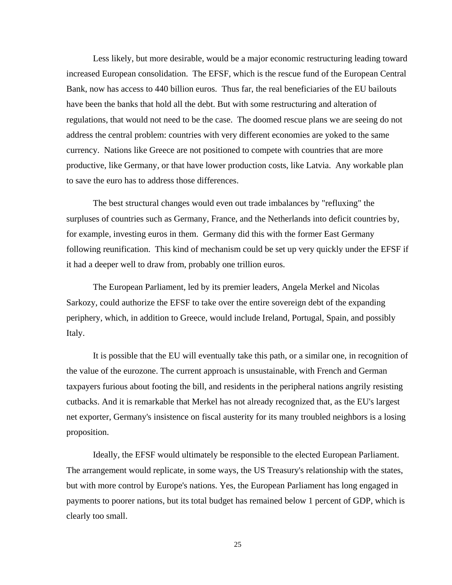Less likely, but more desirable, would be a major economic restructuring leading toward increased European consolidation. The EFSF, which is the rescue fund of the European Central Bank, now has access to 440 billion euros. Thus far, the real beneficiaries of the EU bailouts have been the banks that hold all the debt. But with some restructuring and alteration of regulations, that would not need to be the case. The doomed rescue plans we are seeing do not address the central problem: countries with very different economies are yoked to the same currency. Nations like Greece are not positioned to compete with countries that are more productive, like Germany, or that have lower production costs, like Latvia. Any workable plan to save the euro has to address those differences.

The best structural changes would even out trade imbalances by "refluxing" the surpluses of countries such as Germany, France, and the Netherlands into deficit countries by, for example, investing euros in them. Germany did this with the former East Germany following reunification. This kind of mechanism could be set up very quickly under the EFSF if it had a deeper well to draw from, probably one trillion euros.

The European Parliament, led by its premier leaders, Angela Merkel and Nicolas Sarkozy, could authorize the EFSF to take over the entire sovereign debt of the expanding periphery, which, in addition to Greece, would include Ireland, Portugal, Spain, and possibly Italy.

It is possible that the EU will eventually take this path, or a similar one, in recognition of the value of the eurozone. The current approach is unsustainable, with French and German taxpayers furious about footing the bill, and residents in the peripheral nations angrily resisting cutbacks. And it is remarkable that Merkel has not already recognized that, as the EU's largest net exporter, Germany's insistence on fiscal austerity for its many troubled neighbors is a losing proposition.

Ideally, the EFSF would ultimately be responsible to the elected European Parliament. The arrangement would replicate, in some ways, the US Treasury's relationship with the states, but with more control by Europe's nations. Yes, the European Parliament has long engaged in payments to poorer nations, but its total budget has remained below 1 percent of GDP, which is clearly too small.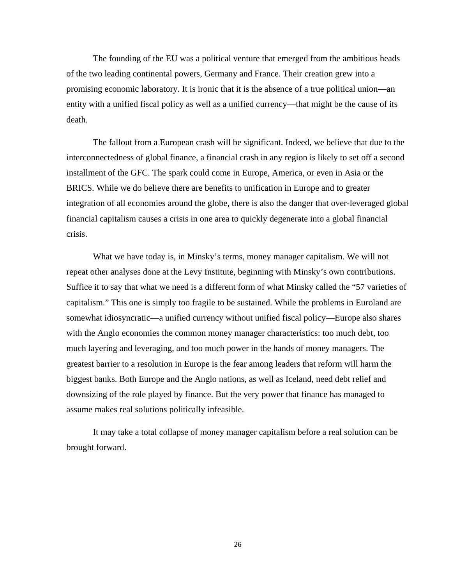The founding of the EU was a political venture that emerged from the ambitious heads of the two leading continental powers, Germany and France. Their creation grew into a promising economic laboratory. It is ironic that it is the absence of a true political union—an entity with a unified fiscal policy as well as a unified currency—that might be the cause of its death.

The fallout from a European crash will be significant. Indeed, we believe that due to the interconnectedness of global finance, a financial crash in any region is likely to set off a second installment of the GFC. The spark could come in Europe, America, or even in Asia or the BRICS. While we do believe there are benefits to unification in Europe and to greater integration of all economies around the globe, there is also the danger that over-leveraged global financial capitalism causes a crisis in one area to quickly degenerate into a global financial crisis.

What we have today is, in Minsky's terms, money manager capitalism. We will not repeat other analyses done at the Levy Institute, beginning with Minsky's own contributions. Suffice it to say that what we need is a different form of what Minsky called the "57 varieties of capitalism." This one is simply too fragile to be sustained. While the problems in Euroland are somewhat idiosyncratic—a unified currency without unified fiscal policy—Europe also shares with the Anglo economies the common money manager characteristics: too much debt, too much layering and leveraging, and too much power in the hands of money managers. The greatest barrier to a resolution in Europe is the fear among leaders that reform will harm the biggest banks. Both Europe and the Anglo nations, as well as Iceland, need debt relief and downsizing of the role played by finance. But the very power that finance has managed to assume makes real solutions politically infeasible.

It may take a total collapse of money manager capitalism before a real solution can be brought forward.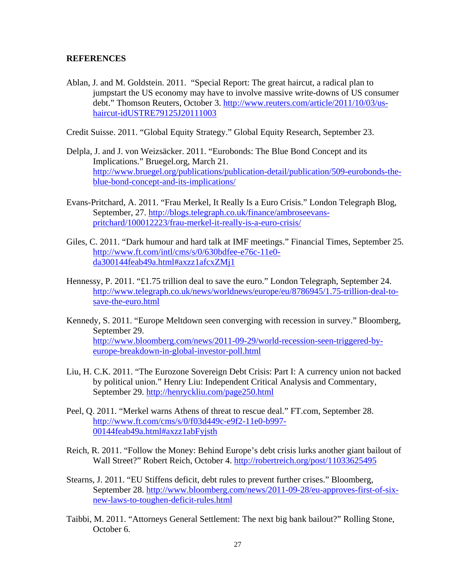## **REFERENCES**

Ablan, J. and M. Goldstein. 2011. "Special Report: The great haircut, a radical plan to jumpstart the US economy may have to involve massive write-downs of US consumer debt." Thomson Reuters, October 3. http://www.reuters.com/article/2011/10/03/ushaircut-idUSTRE79125J20111003

Credit Suisse. 2011. "Global Equity Strategy." Global Equity Research, September 23.

- Delpla, J. and J. von Weizsäcker. 2011. "Eurobonds: The Blue Bond Concept and its Implications." Bruegel.org, March 21. http://www.bruegel.org/publications/publication-detail/publication/509-eurobonds-theblue-bond-concept-and-its-implications/
- Evans-Pritchard, A. 2011. "Frau Merkel, It Really Is a Euro Crisis." London Telegraph Blog, September, 27. http://blogs.telegraph.co.uk/finance/ambroseevanspritchard/100012223/frau-merkel-it-really-is-a-euro-crisis/
- Giles, C. 2011. "Dark humour and hard talk at IMF meetings." Financial Times, September 25. http://www.ft.com/intl/cms/s/0/630bdfee-e76c-11e0 da300144feab49a.html#axzz1afcxZMj1
- Hennessy, P. 2011. "£1.75 trillion deal to save the euro." London Telegraph, September 24. http://www.telegraph.co.uk/news/worldnews/europe/eu/8786945/1.75-trillion-deal-tosave-the-euro.html
- Kennedy, S. 2011. "Europe Meltdown seen converging with recession in survey." Bloomberg, September 29. http://www.bloomberg.com/news/2011-09-29/world-recession-seen-triggered-byeurope-breakdown-in-global-investor-poll.html
- Liu, H. C.K. 2011. "The Eurozone Sovereign Debt Crisis: Part I: A currency union not backed by political union." Henry Liu: Independent Critical Analysis and Commentary, September 29. http://henryckliu.com/page250.html
- Peel, Q. 2011. "Merkel warns Athens of threat to rescue deal." FT.com, September 28. http://www.ft.com/cms/s/0/f03d449c-e9f2-11e0-b997- 00144feab49a.html#axzz1abFyjsth
- Reich, R. 2011. "Follow the Money: Behind Europe's debt crisis lurks another giant bailout of Wall Street?" Robert Reich, October 4. http://robertreich.org/post/11033625495
- Stearns, J. 2011. "EU Stiffens deficit, debt rules to prevent further crises." Bloomberg, September 28. http://www.bloomberg.com/news/2011-09-28/eu-approves-first-of-sixnew-laws-to-toughen-deficit-rules.html
- Taibbi, M. 2011. "Attorneys General Settlement: The next big bank bailout?" Rolling Stone, October 6.